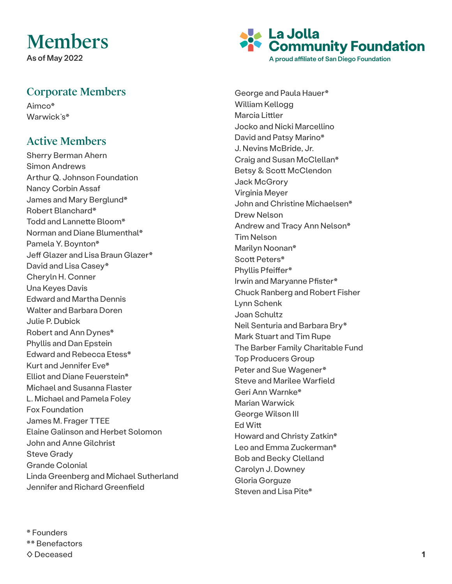## Members

As of May 2022

## Corporate Members

Aimco\* Warwick's\*

## Active Members

Sherry Berman Ahern Simon Andrews Arthur Q. Johnson Foundation Nancy Corbin Assaf James and Mary Berglund\* Robert Blanchard\* Todd and Lannette Bloom\* Norman and Diane Blumenthal\* Pamela Y. Boynton\* Jeff Glazer and Lisa Braun Glazer\* David and Lisa Casey\* Cheryln H. Conner Una Keyes Davis Edward and Martha Dennis Walter and Barbara Doren Julie P. Dubick Robert and Ann Dynes\* Phyllis and Dan Epstein Edward and Rebecca Etess\* Kurt and Jennifer Eve\* Elliot and Diane Feuerstein\* Michael and Susanna Flaster L. Michael and Pamela Foley Fox Foundation James M. Frager TTEE Elaine Galinson and Herbet Solomon John and Anne Gilchrist Steve Grady Grande Colonial Linda Greenberg and Michael Sutherland Jennifer and Richard Greenfield

**La Jolla Community Foundation** A proud affiliate of San Diego Foundation

George and Paula Hauer\* William Kellogg Marcia Littler Jocko and Nicki Marcellino David and Patsy Marino\* J. Nevins McBride, Jr. Craig and Susan McClellan\* Betsy & Scott McClendon Jack McGrory Virginia Meyer John and Christine Michaelsen\* Drew Nelson Andrew and Tracy Ann Nelson\* Tim Nelson Marilyn Noonan\* Scott Peters\* Phyllis Pfeiffer\* Irwin and Maryanne Pfister\* Chuck Ranberg and Robert Fisher Lynn Schenk Joan Schultz Neil Senturia and Barbara Bry\* Mark Stuart and Tim Rupe The Barber Family Charitable Fund Top Producers Group Peter and Sue Wagener\* Steve and Marilee Warfield Geri Ann Warnke\* Marian Warwick George Wilson III Ed Witt Howard and Christy Zatkin\* Leo and Emma Zuckerman\* Bob and Becky Clelland Carolyn J. Downey Gloria Gorguze Steven and Lisa Pite\*

\* Founders \*\* Benefactors ◊ Deceased **1**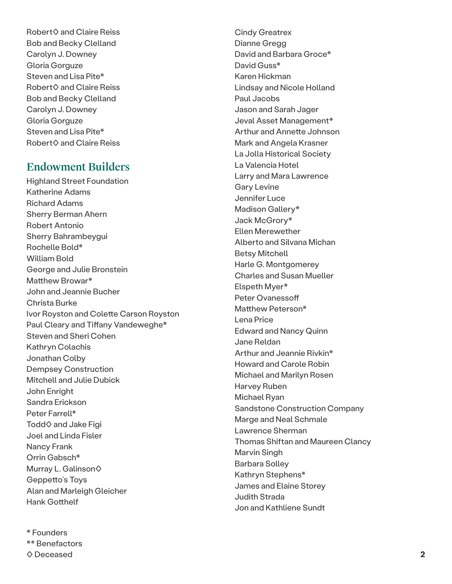Robert◊ and Claire Reiss Bob and Becky Clelland Carolyn J. Downey Gloria Gorguze Steven and Lisa Pite\* Robert◊ and Claire Reiss Bob and Becky Clelland Carolyn J. Downey Gloria Gorguze Steven and Lisa Pite\* Robert◊ and Claire Reiss

## Endowment Builders

Highland Street Foundation Katherine Adams Richard Adams Sherry Berman Ahern Robert Antonio Sherry Bahrambeygui Rochelle Bold\* William Bold George and Julie Bronstein Matthew Browar\* John and Jeannie Bucher Christa Burke Ivor Royston and Colette Carson Royston Paul Cleary and Tiffany Vandeweghe\* Steven and Sheri Cohen Kathryn Colachis Jonathan Colby Dempsey Construction Mitchell and Julie Dubick John Enright Sandra Erickson Peter Farrell\* Todd♦ and Jake Figi Joel and Linda Fisler Nancy Frank Orrin Gabsch\* Murray L. Galinson◊ Geppetto's Toys Alan and Marleigh Gleicher Hank Gotthelf

\* Founders \*\* Benefactors ◊ Deceased

Cindy Greatrex Dianne Gregg David and Barbara Groce\* David Guss\* Karen Hickman Lindsay and Nicole Holland Paul Jacobs Jason and Sarah Jager Jeval Asset Management\* Arthur and Annette Johnson Mark and Angela Krasner La Jolla Historical Society La Valencia Hotel Larry and Mara Lawrence Gary Levine Jennifer Luce Madison Gallery\* Jack McGrory\* Ellen Merewether Alberto and Silvana Michan Betsy Mitchell Harle G. Montgomerey Charles and Susan Mueller Elspeth Myer\* Peter Ovanessoff Matthew Peterson\* Lena Price Edward and Nancy Quinn Jane Reldan Arthur and Jeannie Rivkin\* Howard and Carole Robin Michael and Marilyn Rosen Harvey Ruben Michael Ryan Sandstone Construction Company Marge and Neal Schmale Lawrence Sherman Thomas Shiftan and Maureen Clancy Marvin Singh Barbara Solley Kathryn Stephens\* James and Elaine Storey Judith Strada Jon and Kathliene Sundt